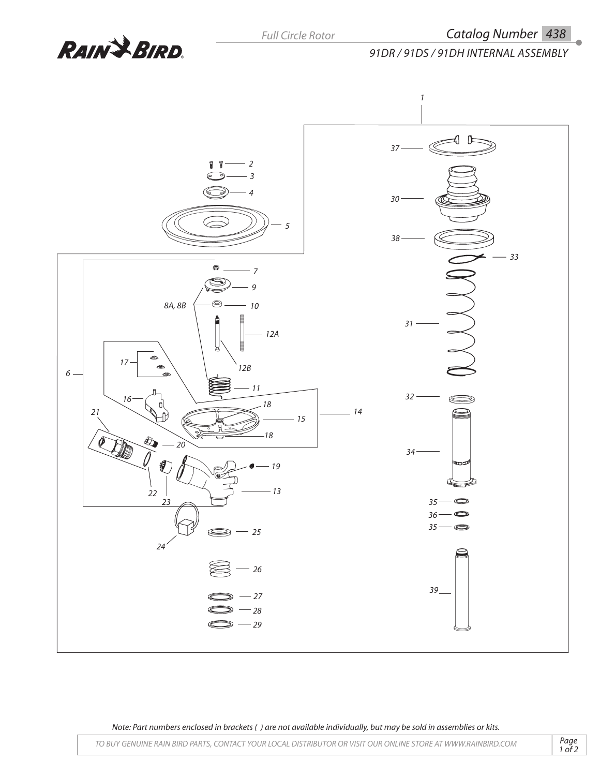

*91DR / 91DS / 91DH Internal Assembly*



*Note: Part numbers enclosed in brackets ( ) are not available individually, but may be sold in assemblies or kits.*

*Page*